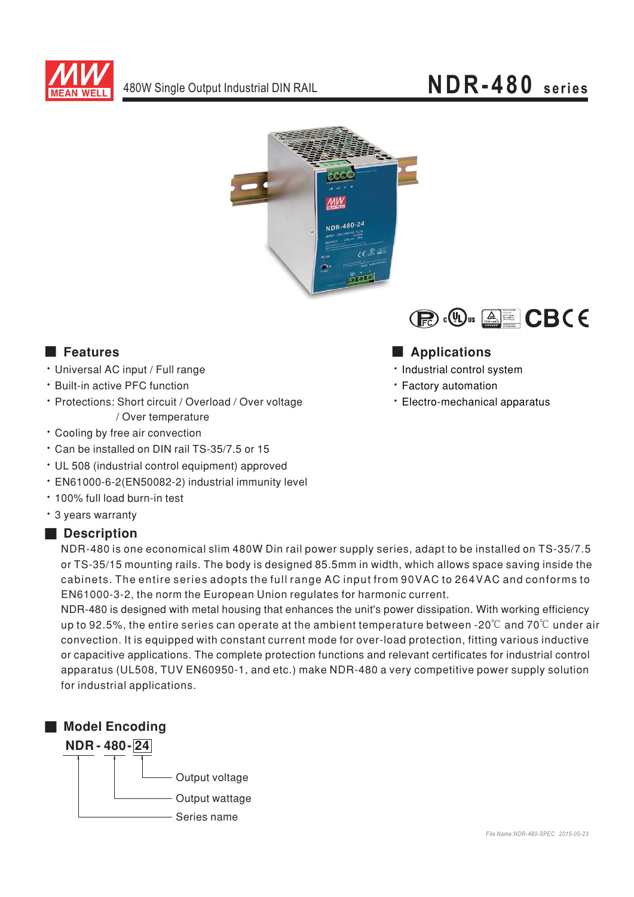

# NDR-480 series





### **Executer** Features

- · Universal AC input / Full range
- \* Built-in active PFC function
- · Protections: Short circuit / Overload / Over voltage / Over temperature
- \* Cooling by free air convection
- \* Can be installed on DIN rail TS-35/7.5 or 15
- UL 508 (industrial control equipment) approved
- · EN61000-6-2(EN50082-2) industrial immunity level
- . 100% full load burn-in test
- \* 3 years warranty

#### Description

NDR-480 is one economical slim 480W Din rail power supply series, adapt to be installed on TS-35/7.5 or TS-35/15 mounting rails. The body is designed 85.5mm in width, which allows space saving inside the cabinets. The entire series adopts the full range AC input from 90VAC to 264VAC and conforms to EN61000-3-2, the norm the European Union regulates for harmonic current.

NDR-480 is designed with metal housing that enhances the unit's power dissipation. With working efficiency up to 92.5%, the entire series can operate at the ambient temperature between -20 $\degree$  and 70 $\degree$ C under air convection. It is equipped with constant current mode for over-load protection, fitting various inductive or capacitive applications. The complete protection functions and relevant certificates for industrial control apparatus (UL508, TUV EN60950-1, and etc.) make NDR-480 a very competitive power supply solution for industrial applications.



### Applications

- · Industrial control system
- Factory automation
- · Electro-mechanical apparatus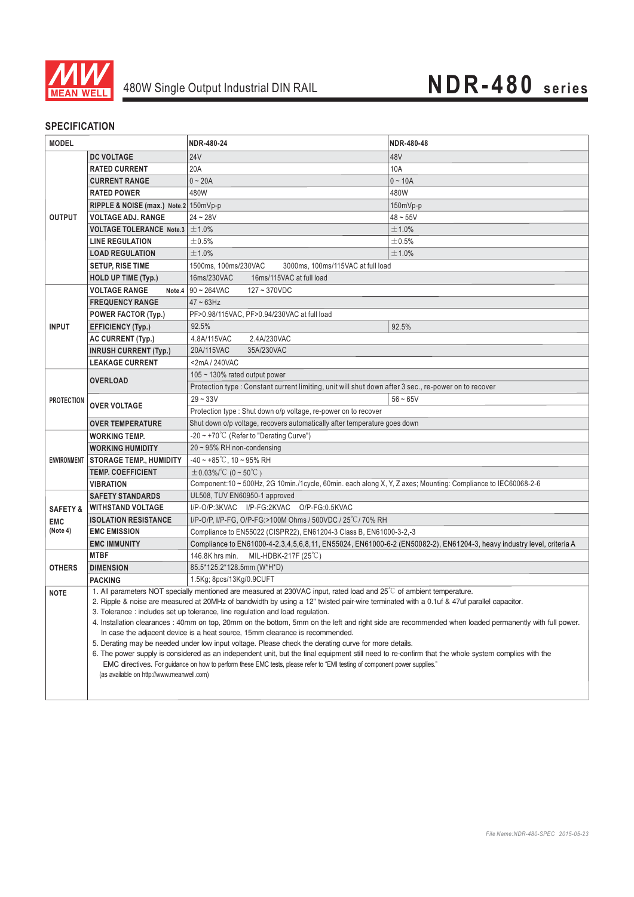

#### **SPECIFICATION**

| <b>MODEL</b>                      |                                                                                                                                                                                                                                                                                  | NDR-480-24                                                                                                                                           | NDR-480-48 |  |
|-----------------------------------|----------------------------------------------------------------------------------------------------------------------------------------------------------------------------------------------------------------------------------------------------------------------------------|------------------------------------------------------------------------------------------------------------------------------------------------------|------------|--|
|                                   | <b>DC VOLTAGE</b>                                                                                                                                                                                                                                                                | <b>24V</b>                                                                                                                                           | 48V        |  |
| <b>OUTPUT</b>                     | <b>RATED CURRENT</b>                                                                                                                                                                                                                                                             | 20A                                                                                                                                                  | 10A        |  |
|                                   | <b>CURRENT RANGE</b>                                                                                                                                                                                                                                                             | $0 - 20A$                                                                                                                                            | $0 - 10A$  |  |
|                                   | <b>RATED POWER</b>                                                                                                                                                                                                                                                               | 480W                                                                                                                                                 | 480W       |  |
|                                   | RIPPLE & NOISE (max.) Note.2 150mVp-p                                                                                                                                                                                                                                            |                                                                                                                                                      | 150mVp-p   |  |
|                                   | <b>VOLTAGE ADJ. RANGE</b>                                                                                                                                                                                                                                                        | $24 - 28V$                                                                                                                                           | $48 - 55V$ |  |
|                                   | VOLTAGE TOLERANCE Note.3                                                                                                                                                                                                                                                         | ±1.0%                                                                                                                                                | ±1.0%      |  |
|                                   | <b>LINE REGULATION</b>                                                                                                                                                                                                                                                           | ±0.5%                                                                                                                                                | ±0.5%      |  |
|                                   | <b>LOAD REGULATION</b>                                                                                                                                                                                                                                                           | ±1.0%                                                                                                                                                | ±1.0%      |  |
|                                   | <b>SETUP, RISE TIME</b>                                                                                                                                                                                                                                                          | 1500ms, 100ms/230VAC<br>3000ms, 100ms/115VAC at full load                                                                                            |            |  |
|                                   | <b>HOLD UP TIME (Typ.)</b>                                                                                                                                                                                                                                                       | 16ms/115VAC at full load<br>16ms/230VAC                                                                                                              |            |  |
|                                   | <b>VOLTAGE RANGE</b>                                                                                                                                                                                                                                                             | Note.4 $90 - 264$ VAC<br>$127 - 370VDC$                                                                                                              |            |  |
| <b>INPUT</b>                      | <b>FREQUENCY RANGE</b>                                                                                                                                                                                                                                                           | $47 - 63$ Hz                                                                                                                                         |            |  |
|                                   | <b>POWER FACTOR (Typ.)</b>                                                                                                                                                                                                                                                       | PF>0.98/115VAC, PF>0.94/230VAC at full load                                                                                                          |            |  |
|                                   | <b>EFFICIENCY (Typ.)</b>                                                                                                                                                                                                                                                         | 92.5%                                                                                                                                                | 92.5%      |  |
|                                   | <b>AC CURRENT (Typ.)</b>                                                                                                                                                                                                                                                         | 2.4A/230VAC<br>4.8A/115VAC                                                                                                                           |            |  |
|                                   | <b>INRUSH CURRENT (Typ.)</b>                                                                                                                                                                                                                                                     | 20A/115VAC<br>35A/230VAC                                                                                                                             |            |  |
|                                   | <b>LEAKAGE CURRENT</b>                                                                                                                                                                                                                                                           | <2mA/240VAC                                                                                                                                          |            |  |
| <b>PROTECTION</b>                 | <b>OVERLOAD</b>                                                                                                                                                                                                                                                                  | $105 \sim 130\%$ rated output power                                                                                                                  |            |  |
|                                   |                                                                                                                                                                                                                                                                                  | Protection type : Constant current limiting, unit will shut down after 3 sec., re-power on to recover                                                |            |  |
|                                   | <b>OVER VOLTAGE</b>                                                                                                                                                                                                                                                              | $29 - 33V$                                                                                                                                           | $56 - 65V$ |  |
|                                   |                                                                                                                                                                                                                                                                                  | Protection type: Shut down o/p voltage, re-power on to recover                                                                                       |            |  |
|                                   | <b>OVER TEMPERATURE</b>                                                                                                                                                                                                                                                          | Shut down o/p voltage, recovers automatically after temperature goes down                                                                            |            |  |
| <b>ENVIRONMENT</b>                | <b>WORKING TEMP.</b>                                                                                                                                                                                                                                                             | -20 ~ +70 $\degree$ C (Refer to "Derating Curve")                                                                                                    |            |  |
|                                   | <b>WORKING HUMIDITY</b>                                                                                                                                                                                                                                                          | $20 \sim 95\%$ RH non-condensing                                                                                                                     |            |  |
|                                   | <b>STORAGE TEMP., HUMIDITY</b>                                                                                                                                                                                                                                                   | $-40 \sim +85^{\circ}$ C, 10 ~ 95% RH                                                                                                                |            |  |
|                                   | <b>TEMP. COEFFICIENT</b>                                                                                                                                                                                                                                                         | $\pm 0.03\%$ /°C (0 ~ 50°C)                                                                                                                          |            |  |
|                                   | <b>VIBRATION</b>                                                                                                                                                                                                                                                                 | Component:10 ~ 500Hz, 2G 10min./1cycle, 60min. each along X, Y, Z axes; Mounting: Compliance to IEC60068-2-6                                         |            |  |
|                                   | <b>SAFETY STANDARDS</b>                                                                                                                                                                                                                                                          | UL508, TUV EN60950-1 approved                                                                                                                        |            |  |
| <b>SAFETY &amp;</b><br><b>EMC</b> | <b>WITHSTAND VOLTAGE</b>                                                                                                                                                                                                                                                         | I/P-O/P:3KVAC I/P-FG:2KVAC O/P-FG:0.5KVAC                                                                                                            |            |  |
|                                   | <b>ISOLATION RESISTANCE</b>                                                                                                                                                                                                                                                      | I/P-O/P, I/P-FG, O/P-FG:>100M Ohms / 500VDC / 25°C/ 70% RH                                                                                           |            |  |
| (Note 4)                          | <b>EMC EMISSION</b>                                                                                                                                                                                                                                                              | Compliance to EN55022 (CISPR22), EN61204-3 Class B, EN61000-3-2,-3                                                                                   |            |  |
|                                   | <b>EMC IMMUNITY</b>                                                                                                                                                                                                                                                              | Compliance to EN61000-4-2,3,4,5,6,8,11, EN55024, EN61000-6-2 (EN50082-2), EN61204-3, heavy industry level, criteria A                                |            |  |
| <b>OTHERS</b>                     | <b>MTBF</b>                                                                                                                                                                                                                                                                      | 146.8K hrs min. MIL-HDBK-217F (25°C)                                                                                                                 |            |  |
|                                   | <b>DIMENSION</b>                                                                                                                                                                                                                                                                 | 85.5*125.2*128.5mm (W*H*D)                                                                                                                           |            |  |
|                                   | PACKING                                                                                                                                                                                                                                                                          | 1.5Kg; 8pcs/13Kg/0.9CUFT<br>1. All parameters NOT specially mentioned are measured at 230VAC input, rated load and 25°C of ambient temperature.      |            |  |
| <b>NOTE</b>                       |                                                                                                                                                                                                                                                                                  | 2. Ripple & noise are measured at 20MHz of bandwidth by using a 12" twisted pair-wire terminated with a 0.1uf & 47uf parallel capacitor.             |            |  |
|                                   |                                                                                                                                                                                                                                                                                  | 3. Tolerance: includes set up tolerance, line regulation and load regulation.                                                                        |            |  |
|                                   |                                                                                                                                                                                                                                                                                  | 4. Installation clearances: 40mm on top, 20mm on the bottom, 5mm on the left and right side are recommended when loaded permanently with full power. |            |  |
|                                   |                                                                                                                                                                                                                                                                                  | In case the adjacent device is a heat source, 15mm clearance is recommended.                                                                         |            |  |
|                                   | 5. Derating may be needed under low input voltage. Please check the derating curve for more details.                                                                                                                                                                             |                                                                                                                                                      |            |  |
|                                   | 6. The power supply is considered as an independent unit, but the final equipment still need to re-confirm that the whole system complies with the<br>EMC directives. For guidance on how to perform these EMC tests, please refer to "EMI testing of component power supplies." |                                                                                                                                                      |            |  |
|                                   | (as available on http://www.meanwell.com)                                                                                                                                                                                                                                        |                                                                                                                                                      |            |  |
|                                   |                                                                                                                                                                                                                                                                                  |                                                                                                                                                      |            |  |
|                                   |                                                                                                                                                                                                                                                                                  |                                                                                                                                                      |            |  |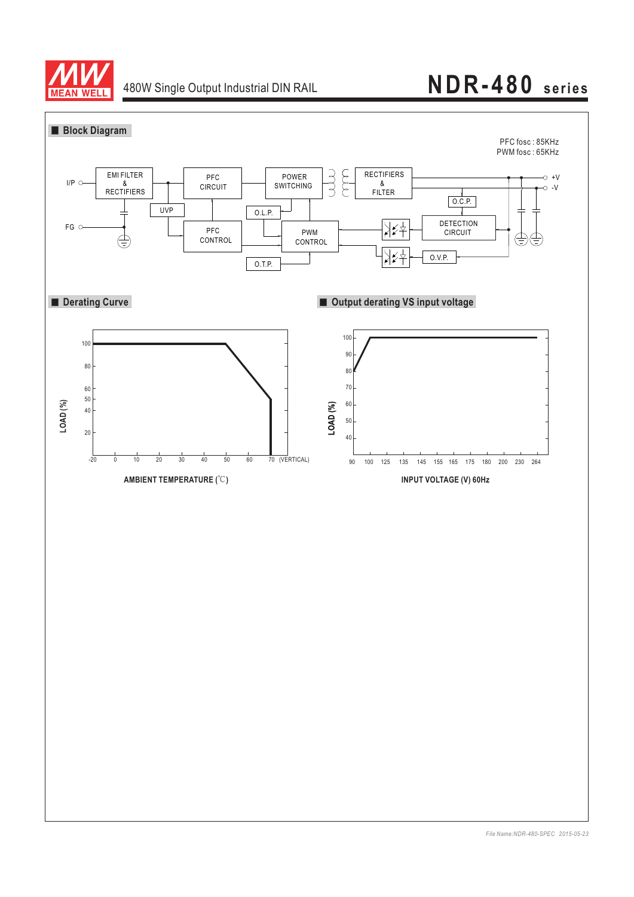

## 480W Single Output Industrial DIN RAIL **NDR-480 series**